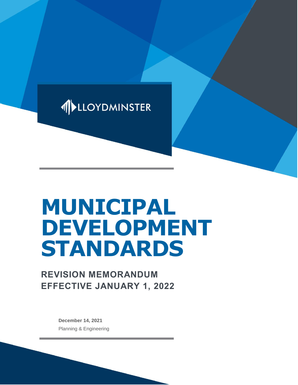

# **MUNICIPAL DEVELOPMENT STANDARDS**

# **REVISION MEMORANDUM EFFECTIVE JANUARY 1, 2022**

**December 14, 2021** Planning & Engineering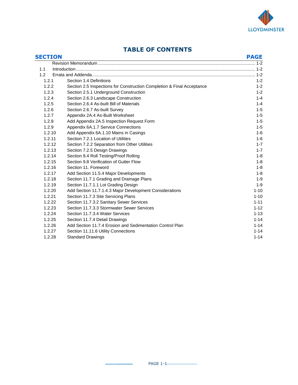

# **TABLE OF CONTENTS**

| <b>SECTION</b> |                                                                        | <b>PAGE</b> |
|----------------|------------------------------------------------------------------------|-------------|
|                |                                                                        |             |
| 1.1            |                                                                        |             |
| 1.2            |                                                                        |             |
| 1.2.1          | Section 1.4 Definitions                                                | $1 - 2$     |
| 1.2.2          | Section 2.5 Inspections for Construction Completion & Final Acceptance | $1 - 2$     |
| 1.2.3          | Section 2.5.1 Underground Construction                                 | $1 - 2$     |
| 1.2.4          | Section 2.6.3 Landscape Construction                                   | $1 - 4$     |
| 1.2.5          | Section 2.6.4 As-built Bill of Materials                               | $1 - 4$     |
| 1.2.6          | Section 2.6.7 As-built Survey                                          | $1 - 5$     |
| 1.2.7          | Appendix 2A.4 As-Built Worksheet                                       | $1 - 5$     |
| 1.2.8          | Add Appendix 2A.5 Inspection Request Form                              | $1 - 5$     |
| 1.2.9          | Appendix 6A.1.7 Service Connections                                    | $1 - 5$     |
| 1.2.10         | Add Appendix 6A.1.10 Mains in Casings                                  | $1-6$       |
| 1.2.11         | Section 7.2.1 Location of Utilities                                    | $1 - 6$     |
| 1.2.12         | Section 7.2.2 Separation from Other Utilities                          | $1 - 7$     |
| 1.2.13         | Section 7.2.5 Design Drawings                                          | $1 - 7$     |
| 1.2.14         | Section 9.4 Roll Testing/Proof Rolling                                 | $1 - 8$     |
| 1.2.15         | Section 9.8 Verification of Gutter Flow                                | $1 - 8$     |
| 1.2.16         | Section 11, Foreword                                                   | $1 - 8$     |
| 1.2.17         | Add Section 11.5.4 Major Developments                                  | $1 - 8$     |
| 1.2.18         | Section 11.7.1 Grading and Drainage Plans                              | $1 - 9$     |
| 1.2.19         | Section 11.7.1.1 Lot Grading Design                                    | $1 - 9$     |
| 1.2.20         | Add Section 11.7.1.4.3 Major Development Considerations                | $1 - 10$    |
| 1.2.21         | Section 11.7.3 Site Servicing Plans                                    | $1 - 10$    |
| 1.2.22         | Section 11.7.3.2 Sanitary Sewer Services                               | $1 - 11$    |
| 1.2.23         | Section 11.7.3.3 Stormwater Sewer Services                             | $1 - 12$    |
| 1.2.24         | Section 11.7.3.4 Water Services                                        | $1 - 13$    |
| 1.2.25         | Section 11.7.4 Detail Drawings                                         | $1 - 14$    |
| 1.2.26         | Add Section 11.7.4 Erosion and Sedimentation Control Plan              | $1 - 14$    |
| 1.2.27         | Section 11.11.6 Utility Connections                                    | $1 - 14$    |
| 1.2.28         | <b>Standard Drawings</b>                                               | $1 - 14$    |

 $\mathbf{r}$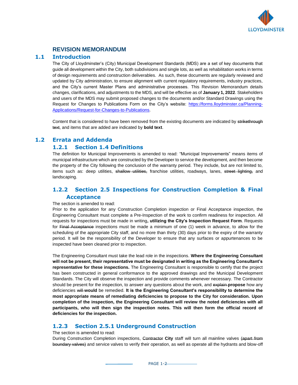

#### **1 REVISION MEMORANDUM**

#### **1.1 Introduction**

The City of Lloydminster's (City) Municipal Development Standards (MDS) are a set of key documents that guide all development within the City, both subdivisions and single lots, as well as rehabilitation works in terms of design requirements and construction deliverables. As such, these documents are regularly reviewed and updated by City administration, to ensure alignment with current regulatory requirements, industry practices, and the City's current Master Plans and administrative processes. This Revision Memorandum details changes, clarifications, and adjustments to the MDS, and will be effective as of **January 1, 2022**. Stakeholders and users of the MDS may submit proposed changes to the documents and/or Standard Drawings using the Request for Changes to Publications Form on the City's website: [https://forms.lloydminster.ca/Planning-](https://forms.lloydminster.ca/Planning-Applications/Request-for-Changes-to-Publications)[Applications/Request-for-Changes-to-Publications.](https://forms.lloydminster.ca/Planning-Applications/Request-for-Changes-to-Publications)

Content that is considered to have been removed from the existing documents are indicated by strikethrough text, and items that are added are indicated by **bold text**.

#### **1.2 Errata and Addenda**

#### **1.2.1 Section 1.4 Definitions**

The definition for Municipal Improvements is amended to read: "Municipal Improvements" means items of municipal infrastructure which are constructed by the Developer to service the development, and then become the property of the City following the conclusion of the warranty period. They include, but are not limited to, items such as: deep utilities, shallow utilities, franchise utilities, roadways, lanes, street lighting, and landscaping.

# **1.2.2 Section 2.5 Inspections for Construction Completion & Final Acceptance**

#### The section is amended to read:

Prior to the application for any Construction Completion inspection or Final Acceptance inspection, the Engineering Consultant must complete a Pre-Inspection of the work to confirm readiness for inspection. All requests for inspections must be made in writing**, utilizing the City's Inspection Request Form**. Requests for Final Acceptance inspections must be made a minimum of one (1) week in advance, to allow for the scheduling of the appropriate City staff, and no more than thirty (30) days prior to the expiry of the warranty period. It will be the responsibility of the Developer to ensure that any surfaces or appurtenances to be inspected have been cleaned prior to inspection.

The Engineering Consultant must take the lead role in the inspections. **Where the Engineering Consultant will not be present, their representative must be designated in writing as the Engineering Consultant's representative for these inspections.** The Engineering Consultant is responsible to certify that the project has been constructed in general conformance to the approved drawings and the Municipal Development Standards. The City will observe the inspection and provide comments whenever necessary. The Contractor should be present for the inspection, to answer any questions about the work, and explain **propose** how any deficiencies will **would** be remedied. **It is the Engineering Consultant's responsibility to determine the most appropriate means of remediating deficiencies to propose to the City for consideration. Upon completion of the inspection, the Engineering Consultant will review the noted deficiencies with all participants, who will then sign the inspection notes. This will then form the official record of deficiencies for the inspection.**

## **1.2.3 Section 2.5.1 Underground Construction**

#### The section is amended to read:

During Construction Completion inspections, Contractor **City** staff will turn all mainline valves (apart from boundary valves) and service valves to verify their operation, as well as operate all the hydrants and blow-off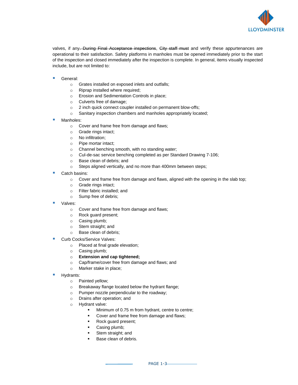

valves, if any. During Final Acceptance inspections, City staff must and verify these appurtenances are operational to their satisfaction. Safety platforms in manholes must be opened immediately prior to the start of the inspection and closed immediately after the inspection is complete. In general, items visually inspected include, but are not limited to:

- General:
	- o Grates installed on exposed inlets and outfalls;
	- o Riprap installed where required;
	- o Erosion and Sedimentation Controls in place;
	- o Culverts free of damage;
	- o 2 inch quick connect coupler installed on permanent blow-offs;
	- o Sanitary inspection chambers and manholes appropriately located;
- Manholes:
	- o Cover and frame free from damage and flaws;
	- o Grade rings intact;
	- o No infiltration;
	- o Pipe mortar intact;
	- o Channel benching smooth, with no standing water;
	- o Cul-de-sac service benching completed as per Standard Drawing 7-106;
	- o Base clean of debris; and
	- o Steps aligned vertically, and no more than 400mm between steps;
- Catch basins:
	- o Cover and frame free from damage and flaws, aligned with the opening in the slab top;
	- o Grade rings intact;
	- o Filter fabric installed; and
	- o Sump free of debris;
- Valves:
	- o Cover and frame free from damage and flaws;
	- o Rock guard present;
	- o Casing plumb;
	- o Stem straight; and
	- o Base clean of debris;
- Curb Cocks/Service Valves:
	- o Placed at final grade elevation;
	- o Casing plumb;
	- o **Extension and cap tightened;**
	- o Cap/frame/cover free from damage and flaws; and
	- o Marker stake in place;
- Hydrants:
	- o Painted yellow;
	- o Breakaway flange located below the hydrant flange;
	- o Pumper nozzle perpendicular to the roadway;
	- o Drains after operation; and
	- o Hydrant valve:
		- Minimum of 0.75 m from hydrant, centre to centre;
		- Cover and frame free from damage and flaws;
		- Rock guard present;
		- Casing plumb;
		- Stem straight; and
		- Base clean of debris.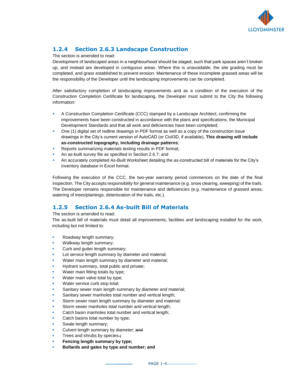

# **1.2.4 Section 2.6.3 Landscape Construction**

The section is amended to read:

Development of landscaped areas in a neighbourhood should be staged, such that park spaces aren't broken up, and instead are developed in contiguous areas. Where this is unavoidable, the site grading must be completed, and grass established to prevent erosion. Maintenance of these incomplete grassed areas will be the responsibility of the Developer until the landscaping improvements can be completed.

After satisfactory completion of landscaping improvements and as a condition of the execution of the Construction Completion Certificate for landscaping, the Developer must submit to the City the following information:

- **A Construction Completion Certificate (CCC) stamped by a Landscape Architect, confirming the** improvements have been constructed in accordance with the plans and specifications, the Municipal Development Standards and that all work and deficiencies have been completed;
- One (1) digital set of redline drawings in PDF format as well as a copy of the construction issue drawings in the City's current version of AutoCAD (or Civil3D, if available)**. This drawing will include as-constructed topography, including drainage patterns**;
- Reports summarizing materials testing results in PDF format;
- **An as-built survey file as specified in Section 2.6.7; and**
- An accurately completed As-Built Worksheet detailing the as-constructed bill of materials for the City's inventory database in Excel format.

Following the execution of the CCC, the two-year warranty period commences on the date of the final inspection. The City accepts responsibility for general maintenance (e.g. snow clearing, sweeping) of the trails. The Developer remains responsible for maintenance and deficiencies (e.g. maintenance of grassed areas, watering of trees/plantings, deterioration of the trails, etc.).

# **1.2.5 Section 2.6.4 As-built Bill of Materials**

#### The section is amended to read:

The as-built bill of materials must detail all improvements, facilities and landscaping installed for the work, including but not limited to:

- Roadway length summary;
- Walkway length summary;
- Curb and gutter length summary;
- Lot service length summary by diameter and material;
- Water main length summary by diameter and material;
- Hydrant summary, total public and private;
- Water main fitting totals by type;
- Water main valve total by type;
- Water service curb stop total;
- Sanitary sewer main length summary by diameter and material;
- Sanitary sewer manholes total number and vertical length;
- Storm sewer main length summary by diameter and material;
- Storm sewer manholes total number and vertical length;
- Catch basin manholes total number and vertical length;
- Catch basins total number by type;
- Swale length summary;
- Culvert length summary by diameter: and
- Trees and shrubs by species.<sup>;</sup>
- **Fencing length summary by type;**
- **Bollards and gates by type and number; and**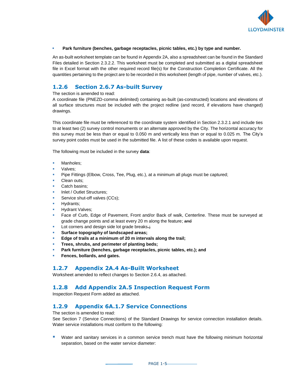

#### ▪ **Park furniture (benches, garbage receptacles, picnic tables, etc.) by type and number.**

An as-built worksheet template can be found in Appendix 2A, also a spreadsheet can be found in the Standard Files detailed in Section 2.3.2.2. This worksheet must be completed and submitted as a digital spreadsheet file in Excel format with the other required record file(s) for the Construction Completion Certificate. All the quantities pertaining to the project are to be recorded in this worksheet (length of pipe, number of valves, etc.).

# **1.2.6 Section 2.6.7 As-built Survey**

#### The section is amended to read:

A coordinate file (PNEZD-comma delimited) containing as-built (as-constructed) locations and elevations of all surface structures must be included with the project redline (and record, if elevations have changed) drawings.

This coordinate file must be referenced to the coordinate system identified in Section 2.3.2.1 and include ties to at least two (2) survey control monuments or an alternate approved by the City. The horizontal accuracy for this survey must be less than or equal to 0.050 m and vertically less than or equal to 0.025 m. The City's survey point codes must be used in the submitted file. A list of these codes is available upon request.

The following must be included in the survey **data**:

- Manholes:
- Valves;
- Pipe Fittings (Elbow, Cross, Tee, Plug, etc.), at a minimum all plugs must be captured;
- Clean outs:
- Catch basins:
- Inlet / Outlet Structures;
- Service shut-off valves (CCs);
- Hydrants;
- **Hydrant Valves:**
- Face of Curb, Edge of Pavement, Front and/or Back of walk, Centerline. These must be surveyed at grade change points and at least every 20 m along the feature; and
- **EXECUTE:** Lot corners and design side lot grade breaks.
- Surface topography of landscaped areas;
- Edge of trails at a minimum of 20 m intervals along the trail;
- **Trees, shrubs, and perimeter of planting beds;**
- Park furniture (benches, garbage receptacles, picnic tables, etc.); and
- **Fences, bollards, and gates.**

## **1.2.7 Appendix 2A.4 As-Built Worksheet**

Worksheet amended to reflect changes to Section 2.6.4, as attached.

## **1.2.8 Add Appendix 2A.5 Inspection Request Form**

Inspection Request Form added as attached.

## **1.2.9 Appendix 6A.1.7 Service Connections**

The section is amended to read:

See Section 7 (Service Connections) of the Standard Drawings for service connection installation details. Water service installations must conform to the following:

■ Water and sanitary services in a common service trench must have the following minimum horizontal separation, based on the water service diameter: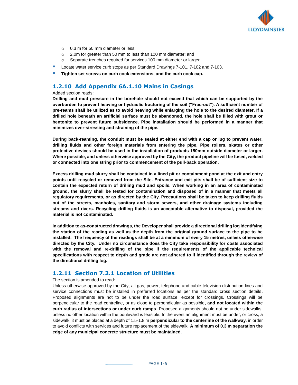

- o 0.3 m for 50 mm diameter or less;
- o 2.0m for greater than 50 mm to less than 100 mm diameter; and
- o Separate trenches required for services 100 mm diameter or larger.
- Locate water service curb stops as per Standard Drawings 7-101, 7-102 and 7-103.
- **Tighten set screws on curb cock extensions, and the curb cock cap.**

#### **1.2.10 Add Appendix 6A.1.10 Mains in Casings**

#### Added section reads:

**Drilling and mud pressure in the borehole should not exceed that which can be supported by the overburden to prevent heaving or hydraulic fracturing of the soil ("Frac-out"). A sufficient number of pre-reams shall be utilized as to avoid heaving while enlarging the hole to the desired diameter. If a drilled hole beneath an artificial surface must be abandoned, the hole shall be filled with grout or bentonite to prevent future subsidence. Pipe installation should be performed in a manner that minimizes over-stressing and straining of the pipe.**

**During back-reaming, the conduit must be sealed at either end with a cap or lug to prevent water, drilling fluids and other foreign materials from entering the pipe. Pipe rollers, skates or other protective devices should be used in the installation of products 150mm outside diameter or larger. Where possible, and unless otherwise approved by the City, the product pipeline will be fused, welded or connected into one string prior to commencement of the pull-back operation.**

**Excess drilling mud slurry shall be contained in a lined pit or containment pond at the exit and entry points until recycled or removed from the Site. Entrance and exit pits shall be of sufficient size to contain the expected return of drilling mud and spoils. When working in an area of contaminated ground, the slurry shall be tested for contamination and disposed of in a manner that meets all regulatory requirements, or as directed by the City. Precautions shall be taken to keep drilling fluids out of the streets, manholes, sanitary and storm sewers, and other drainage systems including streams and rivers. Recycling drilling fluids is an acceptable alternative to disposal, provided the material is not contaminated.**

**In addition to as-constructed drawings, the Developer shall provide a directional drilling log identifying the station of the reading as well as the depth from the original ground surface to the pipe to be installed. The frequency of the readings shall be at a minimum of every 15 metres, unless otherwise directed by the City. Under no circumstance does the City take responsibility for costs associated with the removal and re-drilling of the pipe if the requirements of the applicable technical specifications with respect to depth and grade are not adhered to if identified through the review of the directional drilling log.**

#### **1.2.11 Section 7.2.1 Location of Utilities**

#### The section is amended to read:

Unless otherwise approved by the City, all gas, power, telephone and cable television distribution lines and service connections must be installed in preferred locations as per the standard cross section details. Proposed alignments are not to be under the road surface, except for crossings. Crossings will be perpendicular to the road centreline, or as close to perpendicular as possible**, and not located within the curb radius of intersections or under curb ramps**. Proposed alignments should not be under sidewalks, unless no other location within the boulevard is feasible. In the event an alignment must be under, or cross, a sidewalk, it must be placed at a depth of 1.5-1.8 m **perpendicular to the centerline of the walkway**, in order to avoid conflicts with services and future replacement of the sidewalk. **A minimum of 0.3 m separation the edge of any municipal concrete structure must be maintained.**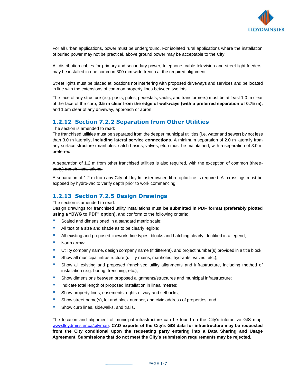

For all urban applications, power must be underground. For isolated rural applications where the installation of buried power may not be practical, above ground power may be acceptable to the City.

All distribution cables for primary and secondary power, telephone, cable television and street light feeders, may be installed in one common 300 mm wide trench at the required alignment.

Street lights must be placed at locations not interfering with proposed driveways and services and be located in line with the extensions of common property lines between two lots.

The face of any structure (e.g. posts, poles, pedestals, vaults, and transformers) must be at least 1.0 m clear of the face of the curb, **0.5 m clear from the edge of walkways (with a preferred separation of 0.75 m),**  and 1.5m clear of any driveway, approach or apron.

## **1.2.12 Section 7.2.2 Separation from Other Utilities**

The section is amended to read:

The franchised utilities must be separated from the deeper municipal utilities (i.e. water and sewer) by not less than 3.0 m laterally**, including lateral service connections**. A minimum separation of 2.0 m laterally from any surface structure (manholes, catch basins, valves, etc.) must be maintained, with a separation of 3.0 m preferred.

A separation of 1.2 m from other franchised utilities is also required, with the exception of common (threeparty) trench installations.

A separation of 1.2 m from any City of Lloydminster owned fibre optic line is required. All crossings must be exposed by hydro-vac to verify depth prior to work commencing.

## **1.2.13 Section 7.2.5 Design Drawings**

The section is amended to read:

Design drawings for franchised utility installations must **be submitted in PDF format (preferably plotted using a "DWG to PDF" option),** and conform to the following criteria:

- Scaled and dimensioned in a standard metric scale;
- All text of a size and shade as to be clearly legible;
- **E** All existing and proposed linework, line types, blocks and hatching clearly identified in a legend;
- North arrow;
- Utility company name, design company name (if different), and project number(s) provided in a title block;
- **E** Show all municipal infrastructure (utility mains, manholes, hydrants, valves, etc.);
- Show all existing and proposed franchised utility alignments and infrastructure, including method of installation (e.g. boring, trenching, etc.);
- **E** Show dimensions between proposed alignments/structures and municipal infrastructure;
- **■** Indicate total length of proposed installation in lineal metres;
- Show property lines, easements, rights of way and setbacks;
- Show street name(s), lot and block number, and civic address of properties; and
- Show curb lines, sidewalks, and trails.

The location and alignment of municipal infrastructure can be found on the City's interactive GIS map, [www.lloydminster.ca/citymap.](http://www.lloydminster.ca/citymap) **CAD exports of the City's GIS data for infrastructure may be requested from the City conditional upon the requesting party entering into a Data Sharing and Usage Agreement. Submissions that do not meet the City's submission requirements may be rejected.**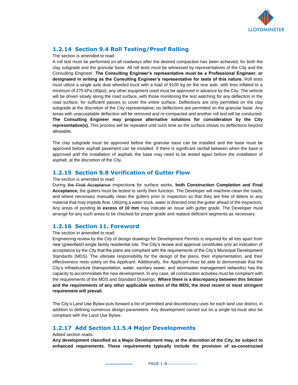

# **1.2.14 Section 9.4 Roll Testing/Proof Rolling**

The section is amended to read:

A roll test must be performed on all roadways after the desired compaction has been achieved, for both the clay subgrade and the granular base. All roll tests must be witnessed by representatives of the City and the Consulting Engineer. **The Consulting Engineer's representative must be a Professional Engineer, or designated in writing as the Consulting Engineer's representative for tests of this nature.** Roll tests must utilize a single axle dual wheeled truck with a load of 9100 kg on the rear axle, with tires inflated to a minimum of 275 kPa (40psi); any other equipment used must be approved in advance by the City. The vehicle will be driven slowly along the road surface, with those monitoring the test watching for any deflection in the road surface, for sufficient passes to cover the entire surface. Deflections are only permitted on the clay subgrade at the discretion of the City representative; no deflections are permitted on the granular base. Any areas with unacceptable deflection will be removed and re-compacted and another roll test will be conducted. **The Consulting Engineer may propose alternative solutions for consideration by the City representative(s).** This process will be repeated until such time as the surface shows no deflections beyond allowable.

The clay subgrade must be approved before the granular base can be installed and the base must be approved before asphalt pavement can be installed. If there is significant rainfall between when the base is approved and the installation of asphalt, the base may need to be tested again before the installation of asphalt, at the discretion of the City.

## **1.2.15 Section 9.8 Verification of Gutter Flow**

The section is amended to read:

During the Final Acceptance inspection**s** for surface works, **both Construction Completion and Final Acceptance,** the gutters must be tested to verify their function. The Developer will machine-clean the roads, and where necessary manually clean the gutters prior to inspection so that they are free of debris or any material that may impede flow. Utilizing a water truck, water is directed onto the gutter ahead of the inspectors. Any areas of ponding **in excess of 10 mm** may indicate an issue with gutter grade. The Developer must arrange for any such areas to be checked for proper grade and replace deficient segments as necessary.

#### **1.2.16 Section 11. Foreword**

The section in amended to read:

Engineering review by the City of design drawings for Development Permits is required for all lots apart from new (greenfield) single family residential lots. The City's review and approval constitutes only an indication of acceptance by the City that the plans are compliant with the requirements of the City's Municipal Development Standards (MDS). The ultimate responsibility for the design of the plans, their implementation, and their effectiveness rests solely on the Applicant. Additionally, the Applicant must be able to demonstrate that the City's infrastructure (transportation, water, sanitary sewer, and stormwater management networks) has the capacity to accommodate the new development. In any case, all construction activities must be compliant with the requirements of the MDS and Standard Drawings. **Where there is a discrepancy between this Section and the requirements of any other applicable section of the MDS, the most recent or most stringent requirement will prevail.**

The City's Land Use Bylaw puts forward a list of permitted and discretionary uses for each land use district, in addition to defining numerous design parameters. Any development carried out on a single lot must also be compliant with the Land Use Bylaw.

## **1.2.17 Add Section 11.5.4 Major Developments**

#### Added section reads:

**Any development classified as a Major Development may, at the discretion of the City, be subject to enhanced requirements. These requirements typically include the provision of as-constructed**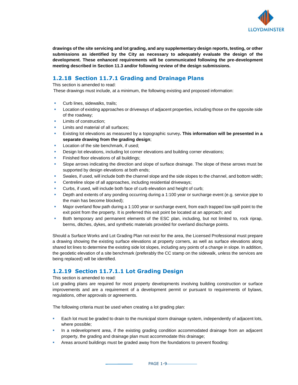

**drawings of the site servicing and lot grading, and any supplementary design reports, testing, or other submissions as identified by the City as necessary to adequately evaluate the design of the development. These enhanced requirements will be communicated following the pre-development meeting described in Section 11.3 and/or following review of the design submissions.**

# **1.2.18 Section 11.7.1 Grading and Drainage Plans**

#### This section is amended to read:

These drawings must include, at a minimum, the following existing and proposed information:

- Curb lines, sidewalks, trails;
- Location of existing approaches or driveways of adjacent properties, including those on the opposite side of the roadway;
- Limits of construction:
- Limits and material of all surfaces:
- Existing lot elevations as measured by a topographic survey. This information will be presented in a **separate drawing from the grading design**;
- Location of the site benchmark, if used;
- Design lot elevations, including lot corner elevations and building corner elevations;
- Finished floor elevations of all buildings;
- Slope arrows indicating the direction and slope of surface drainage. The slope of these arrows must be supported by design elevations at both ends;
- Swales, if used, will include both the channel slope and the side slopes to the channel, and bottom width;
- Centreline slope of all approaches, including residential driveways;
- Curbs, if used, will include both face of curb elevation and height of curb;
- Depth and extents of any ponding occurring during a 1:100 year or surcharge event (e.g. service pipe to the main has become blocked);
- Major overland flow path during a 1:100 year or surcharge event, from each trapped low spill point to the exit point from the property. It is preferred this exit point be located at an approach; and
- **•** Both temporary and permanent elements of the ESC plan, including, but not limited to, rock riprap, berms, ditches, dykes, and synthetic materials provided for overland discharge points.

Should a Surface Works and Lot Grading Plan not exist for the area, the Licensed Professional must prepare a drawing showing the existing surface elevations at property corners, as well as surface elevations along shared lot lines to determine the existing side lot slopes, including any points of a change in slope. In addition, the geodetic elevation of a site benchmark (preferably the CC stamp on the sidewalk, unless the services are being replaced) will be identified.

# **1.2.19 Section 11.7.1.1 Lot Grading Design**

#### This section is amended to read:

Lot grading plans are required for most property developments involving building construction or surface improvements and are a requirement of a development permit or pursuant to requirements of bylaws, regulations, other approvals or agreements.

The following criteria must be used when creating a lot grading plan:

- **Each lot must be graded to drain to the municipal storm drainage system, independently of adjacent lots,** where possible;
- **■** In a redevelopment area, if the existing grading condition accommodated drainage from an adjacent property, the grading and drainage plan must accommodate this drainage;
- **EXECT** Areas around buildings must be graded away from the foundations to prevent flooding: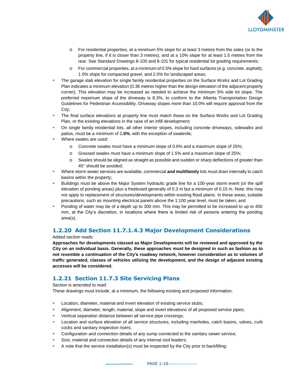

- o For residential properties, at a minimum 5% slope for at least 3 metres from the sides (or to the property line, if it is closer than 3 metres), and at a 10% slope for at least 1.5 metres from the rear. See Standard Drawings 8-100 and 8-101 for typical residential lot grading requirements;
- o For commercial properties, at a minimum of 0.5% slope for hard surfaces (e.g. concrete, asphalt), 1.0% slope for compacted gravel, and 2.0% for landscaped areas;
- **The garage slab elevation for single family residential properties on the Surface Works and Lot Grading** Plan indicates a minimum elevation (0.36 metres higher than the design elevation of the adjacent property corner). This elevation may be increased as needed to achieve the minimum 5% side lot slope. The preferred maximum slope of the driveway is 8.3%, to conform to the Alberta Transportation Design Guidelines for Pedestrian Accessibility. Driveway slopes more than 10.0% will require approval from the City;
- The final surface elevations at property line must match those on the Surface Works and Lot Grading Plan, or the existing elevations in the case of an infill development;
- On single family residential lots, all other interior slopes, including concrete driveways, sidewalks and patios, must be a minimum of 2**.0%**, with the exception of swales%;
- Where swales are used:
	- o Concrete swales must have a minimum slope of 0.6% and a maximum slope of 25%;
	- o Grassed swales must have a minimum slope of 1.5% and a maximum slope of 25%;
	- o Swales should be aligned as straight as possible and sudden or sharp deflections of greater than 45° should be avoided;
- Where storm sewer services are available, commercial **and multifamily** lots must drain internally to catch basins within the property;
- Buildings must be above the Major System hydraulic grade line for a 100-year storm event (or the spill elevation of ponding areas) plus a freeboard generally of 0.3 m but a minimum of 0.15 m. Note: this may not apply to replacement of structures/developments within existing flood plains. In these areas, suitable precautions, such as mounting electrical panels above the 1:100 year level, must be taken; and
- Ponding of water may be of a depth up to 300 mm. This may be permitted to be increased to up to 450 mm, at the City's discretion, in locations where there is limited risk of persons entering the ponding area(s).

## **1.2.20 Add Section 11.7.1.4.3 Major Development Considerations**

Added section reads:

**Approaches for developments classed as Major Developments will be reviewed and approved by the City on an individual basis. Generally, these approaches must be designed in such as fashion as to not resemble a continuation of the City's roadway network, however consideration as to volumes of traffic generated, classes of vehicles utilizing the development, and the design of adjacent existing accesses will be considered.**

## **1.2.21 Section 11.7.3 Site Servicing Plans**

Section is amended to read:

These drawings must include, at a minimum, the following existing and proposed information:

- **EXECT** Location, diameter, material and invert elevation of existing service stubs;
- Alignment, diameter, length, material, slope and invert elevations of all proposed service pipes;
- Vertical separation distance between all service pipe crossings;
- Location and surface elevation of all service structures, including manholes, catch basins, valves, curb cocks and sanitary inspection risers;
- Configuration and connection details of any sump connected to the sanitary sewer service;
- Size, material and connection details of any internal roof leaders;
- A note that the service installation(s) must be inspected by the City prior to backfilling;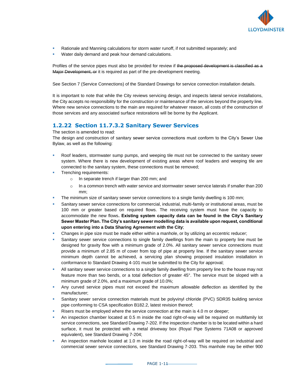

- Rationale and Manning calculations for storm water runoff, if not submitted separately; and
- Water daily demand and peak hour demand calculations.

Profiles of the service pipes must also be provided for review if the proposed development is classified as a Major Development, or it is required as part of the pre-development meeting.

See Section 7 (Service Connections) of the Standard Drawings for service connection installation details.

It is important to note that while the City reviews servicing design, and inspects lateral service installations, the City accepts no responsibility for the construction or maintenance of the services beyond the property line. Where new service connections to the main are required for whatever reason, all costs of the construction of those services and any associated surface restorations will be borne by the Applicant.

# **1.2.22 Section 11.7.3.2 Sanitary Sewer Services**

The section is amended to read:

The design and construction of sanitary sewer service connections must conform to the City's Sewer Use Bylaw, as well as the following:

- Roof leaders, stormwater sump pumps, and weeping tile must not be connected to the sanitary sewer system. Where there is new development of existing areas where roof leaders and weeping tile are connected to the sanitary system, these connections must be removed;
- **•** Trenching requirements:
	- o In separate trench if larger than 200 mm; and
	- o In a common trench with water service and stormwater sewer service laterals if smaller than 200 mm;
- The minimum size of sanitary sewer service connections to a single family dwelling is 100 mm;
- Sanitary sewer service connections for commercial, industrial, multi-family or institutional areas, must be 100 mm or greater based on required flows. The receiving system must have the capacity to accommodate the new flows**. Existing system capacity data can be found in the City's Sanitary Sewer Master Plan. The City's sanitary sewer modelling data is available upon request, conditional upon entering into a Data Sharing Agreement with the City**;
- Changes in pipe size must be made either within a manhole, or by utilizing an eccentric reducer;
- Sanitary sewer service connections to single family dwellings from the main to property line must be designed for gravity flow with a minimum grade of 2.0%. All sanitary sewer service connections must provide a minimum of 2.85 m of cover from top of pipe at property line. If the sanitary sewer service minimum depth cannot be achieved, a servicing plan showing proposed insulation installation in conformance to Standard Drawing 4-101 must be submitted to the City for approval;
- **EXECT All sanitary sewer service connections to a single family dwelling from property line to the house may not** feature more than two bends, or a total deflection of greater 45°. The service must be sloped with a minimum grade of 2.0%, and a maximum grade of 10.0%;
- Any curved service pipes must not exceed the maximum allowable deflection as identified by the manufacturer;
- Sanitary sewer service connection materials must be polyvinyl chloride (PVC) SDR35 building service pipe conforming to CSA specification B182.2, latest revision thereof;
- Risers must be employed where the service connection at the main is 4.0 m or deeper;
- An inspection chamber located at 0.5 m inside the road right-of-way will be required on multifamily lot service connections, see Standard Drawing 7-202. If the inspection chamber is to be located within a hard surface, it must be protected with a metal driveway box (Royal Pipe Systems 71A08 or approved equivalent), see Standard Drawing 7-204;
- An inspection manhole located at 1.0 m inside the road right-of-way will be required on industrial and commercial sewer service connections, see Standard Drawing 7-203. This manhole may be either 900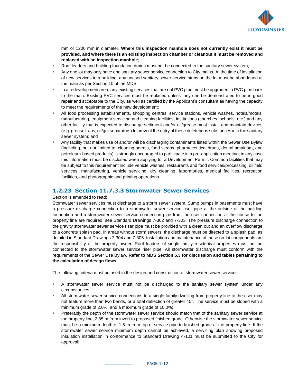

mm or 1200 mm in diameter**. Where this inspection manhole does not currently exist it must be provided, and where there is an existing inspection chamber or cleanout it must be removed and replaced with an inspection manhole**;

- Roof leaders and building foundation drains must not be connected to the sanitary sewer system;
- Any one lot may only have one sanitary sewer service connection to City mains. At the time of installation of new services to a building, any unused sanitary sewer service stubs on the lot must be abandoned at the main as per Section 10 of the MDS;
- **■** In a redevelopment area, any existing services that are not PVC pipe must be upgraded to PVC pipe back to the main. Existing PVC services must be replaced unless they can be demonstrated to be in good repair and acceptable to the City, as well as certified by the Applicant's consultant as having the capacity to meet the requirements of the new development;
- All food processing establishments, shopping centres, service stations, vehicle washes, hotels/motels, manufacturing, equipment servicing and cleaning facilities, institutions (churches, schools, etc.) and any other facility that is expected to discharge sediment and/or oil/grease must install and maintain devices (e.g. grease traps, oil/grit separators) to prevent the entry of these deleterious substances into the sanitary sewer system; and
- Any facility that makes use of and/or will be discharging contaminants listed within the Sewer Use Bylaw (including, but not limited to: cleaning agents, food scraps, pharmaceutical drugs, dental amalgam, and petroleum-based products) is strongly encouraged to participate in a pre-application meeting; in any case this information must be disclosed when applying for a Development Permit. Common facilities that may be subject to this requirement include vehicle washes, restaurants and food services/processing, oil field services, manufacturing, vehicle servicing, dry cleaning, laboratories, medical facilities, recreation facilities, and photographic and printing operations.

#### **1.2.23 Section 11.7.3.3 Stormwater Sewer Services**

#### Section is amended to read:

Stormwater sewer services must discharge to a storm sewer system. Sump pumps in basements must have a pressure discharge connection to a stormwater sewer service riser pipe at the outside of the building foundation and a stormwater sewer service connection pipe from the riser connection at the house to the property line are required, see Standard Drawings 7-302 and 7-303. The pressure discharge connection to the gravity stormwater sewer service riser pipe must be provided with a clean out and an overflow discharge to a concrete splash pad. In areas without storm sewers, the discharge must be directed to a splash pad, as detailed in Standard Drawings 7-304 and 7-305. Installation and maintenance of these on-lot components are the responsibility of the property owner. Roof leaders of single family residential properties must not be connected to the stormwater sewer service riser pipe. All stormwater discharge must conform with the requirements of the Sewer Use Bylaw. **Refer to MDS Section 5.3 for discussion and tables pertaining to the calculation of design flows.**

The following criteria must be used in the design and construction of stormwater sewer services:

- **•** A stormwater sewer service must not be discharged to the sanitary sewer system under any circumstances;
- **All stormwater sewer service connections to a single family dwelling from property line to the riser may** not feature more than two bends, or a total deflection of greater 45°. The service must be sloped with a minimum grade of 2.0%, and a maximum grade of 10.0%;
- Preferably the depth of the stormwater sewer service should match that of the sanitary sewer service at the property line, 2.85 m from invert to proposed finished grade. Otherwise the stormwater sewer service must be a minimum depth of 1.5 m from top of service pipe to finished grade at the property line. If the stormwater sewer service minimum depth cannot be achieved, a servicing plan showing proposed insulation installation in conformance to Standard Drawing 4-101 must be submitted to the City for approval;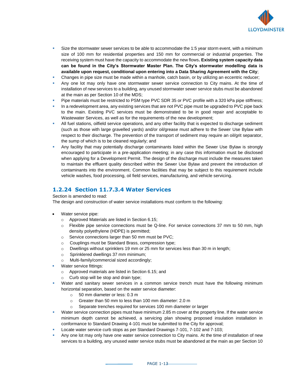

- **EXECT:** Size the stormwater sewer services to be able to accommodate the 1:5 year storm event, with a minimum size of 100 mm for residential properties and 150 mm for commercial or industrial properties. The receiving system must have the capacity to accommodate the new flows**. Existing system capacity data can be found in the City's Stormwater Master Plan. The City's stormwater modelling data is available upon request, conditional upon entering into a Data Sharing Agreement with the City**;
- Changes in pipe size must be made within a manhole, catch basin, or by utilizing an eccentric reducer;
- **•** Any one lot may only have one stormwater sewer service connection to City mains. At the time of installation of new services to a building, any unused stormwater sewer service stubs must be abandoned at the main as per Section 10 of the MDS;
- Pipe materials must be restricted to PSM type PVC SDR 35 or PVC profile with a 320 kPa pipe stiffness;
- In a redevelopment area, any existing services that are not PVC pipe must be upgraded to PVC pipe back to the main. Existing PVC services must be demonstrated to be in good repair and acceptable to Wastewater Services, as well as for the requirements of the new development;
- **EXECT** All fuel stations, oilfield service operations, and any other facility that is expected to discharge sediment (such as those with large gravelled yards) and/or oil/grease must adhere to the Sewer Use Bylaw with respect to their discharge. The prevention of the transport of sediment may require an oil/grit separator, the sump of which is to be cleaned regularly; and
- **•** Any facility that may potentially discharge contaminants listed within the Sewer Use Bylaw is strongly encouraged to participate in a pre-application meeting; in any case this information must be disclosed when applying for a Development Permit. The design of the discharge must include the measures taken to maintain the effluent quality described within the Sewer Use Bylaw and prevent the introduction of contaminants into the environment. Common facilities that may be subject to this requirement include vehicle washes, food processing, oil field services, manufacturing, and vehicle servicing.

## **1.2.24 Section 11.7.3.4 Water Services**

Section is amended to read:

The design and construction of water service installations must conform to the following:

- Water service pipe:
	- o Approved Materials are listed in Section 6.15;
	- o Flexible pipe service connections must be Q-line. For service connections 37 mm to 50 mm, high density polyethylene (HDPE) is permitted;
	- o Service connections larger than 50 mm must be PVC;
	- o Couplings must be Standard Brass, compression type;
	- o Dwellings without sprinklers 19 mm or 25 mm for services less than 30 m in length;
	- o Sprinklered dwellings 37 mm minimum;
	- o Multi-family/commercial sized accordingly;
- Water service fittings:
	- o Approved materials are listed in Section 6.15; and
	- o Curb stop will be stop and drain type;
- Water and sanitary sewer services in a common service trench must have the following minimum horizontal separation, based on the water service diameter:
	- o 50 mm diameter or less: 0.3 m
	- o Greater than 50 mm to less than 100 mm diameter: 2.0 m
	- o Separate trenches required for services 100 mm diameter or larger
- **■** Water service connection pipes must have minimum 2.85 m cover at the property line. If the water service minimum depth cannot be achieved, a servicing plan showing proposed insulation installation in conformance to Standard Drawing 4-101 must be submitted to the City for approval;
- Locate water service curb stops as per Standard Drawings 7-101, 7-102 and 7-103;
- Any one lot may only have one water service connection to City mains. At the time of installation of new services to a building, any unused water service stubs must be abandoned at the main as per Section 10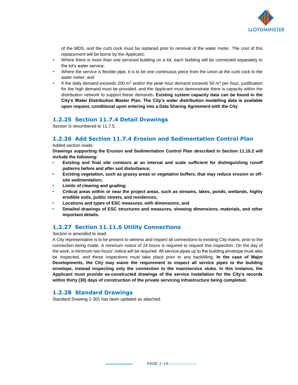

of the MDS, and the curb cock must be replaced prior to removal of the water meter. The cost of this replacement will be borne by the Applicant;

- Where there is more than one serviced building on a lot, each building will be connected separately to the lot's water service;
- Where the service is flexible pipe, it is to be one continuous piece from the union at the curb cock to the water meter; and
- **■** If the daily demand exceeds 200 m<sup>3</sup> and/or the peak hour demand exceeds 50 m<sup>3</sup> per hour, justification for the high demand must be provided, and the Applicant must demonstrate there is capacity within the distribution network to support these demands**. Existing system capacity data can be found in the City's Water Distribution Master Plan. The City's water distribution modelling data is available upon request, conditional upon entering into a Data Sharing Agreement with the City**.

## **1.2.25 Section 11.7.4 Detail Drawings**

Section is renumbered to 11.7.5.

# **1.2.26 Add Section 11.7.4 Erosion and Sedimentation Control Plan**

#### Added section reads:

**Drawings supporting the Erosion and Sedimentation Control Plan described in Section 11.10.2 will include the following:**

- **Existing and final site contours at an interval and scale sufficient for distinguishing runoff patterns before and after soil disturbance;**
- **Existing vegetation, such as grassy areas or vegetative buffers, that may reduce erosion or offsite sedimentation;**
- Limits of clearing and grading;
- **Critical areas within or near the project areas, such as streams, lakes, ponds, wetlands, highly erodible soils, public streets, and residences;**
- Locations and types of ESC measures, with dimensions; and
- Detailed drawings of ESC structures and measures, showing dimensions, materials, and other **important details.**

# **1.2.27 Section 11.11.6 Utility Connections**

Section is amended to read:

A City representative is to be present to witness and inspect all connections to existing City mains, prior to the connection being made. A minimum notice of 24 hours is required to request this inspection. On the day of the work, a minimum two hours' notice will be required. All service pipes up to the building envelope must also be inspected, and these inspections must take place prior to any backfilling. **In the case of Major Developments, the City may waive the requirement to inspect all service pipes to the building envelope, instead inspecting only the connection to the main/service stubs. In this instance, the Applicant must provide as-constructed drawings of the service installation for the City's records within thirty (30) days of construction of the private servicing infrastructure being completed.**

## **1.2.28 Standard Drawings**

Standard Drawing 1-301 has been updated as attached.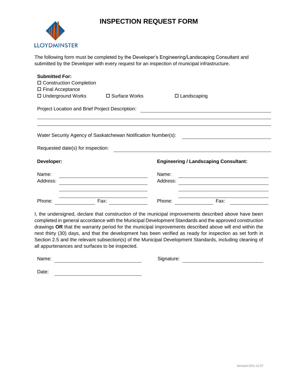# **INSPECTION REQUEST FORM**



The following form must be completed by the Developer's Engineering/Landscaping Consultant and submitted by the Developer with every request for an inspection of municipal infrastructure.

| <b>Submitted For:</b>                           |                                                               |                       |                                              |  |
|-------------------------------------------------|---------------------------------------------------------------|-----------------------|----------------------------------------------|--|
| □ Construction Completion                       |                                                               |                       |                                              |  |
| □ Final Acceptance                              |                                                               |                       |                                              |  |
| □ Underground Works                             | □ Surface Works                                               | $\square$ Landscaping |                                              |  |
| Project Location and Brief Project Description: |                                                               |                       |                                              |  |
|                                                 |                                                               |                       |                                              |  |
|                                                 |                                                               |                       |                                              |  |
|                                                 | Water Security Agency of Saskatchewan Notification Number(s): |                       |                                              |  |
| Requested date(s) for inspection:               |                                                               |                       |                                              |  |
| Developer:                                      |                                                               |                       | <b>Engineering / Landscaping Consultant:</b> |  |
| Name:                                           |                                                               | Name:                 |                                              |  |
| Address:                                        |                                                               | Address:              |                                              |  |
|                                                 |                                                               |                       |                                              |  |

completed in general accordance with the Municipal Development Standards and the approved construction drawings **OR** that the warranty period for the municipal improvements described above will end within the next thirty (30) days, and that the development has been verified as ready for inspection as set forth in Section 2.5 and the relevant subsection(s) of the Municipal Development Standards, including cleaning of all appurtenances and surfaces to be inspected.

Name: Signature: Signature: Signature: Signature: Signature: Signature: Signature: Signature: Signature: Signature: Signature: Signature: Signature: Signature: Signature: Signature: Signature: Signature: Signature: Signatu

Date: **Date: Date: Date: Date: Date: Date: Date: Date: Date: Date: Date: Date: Date: Date: Date: Date: Date: Date: Date: Date: Date: Date: Date: Date: Date: Date: Date:**